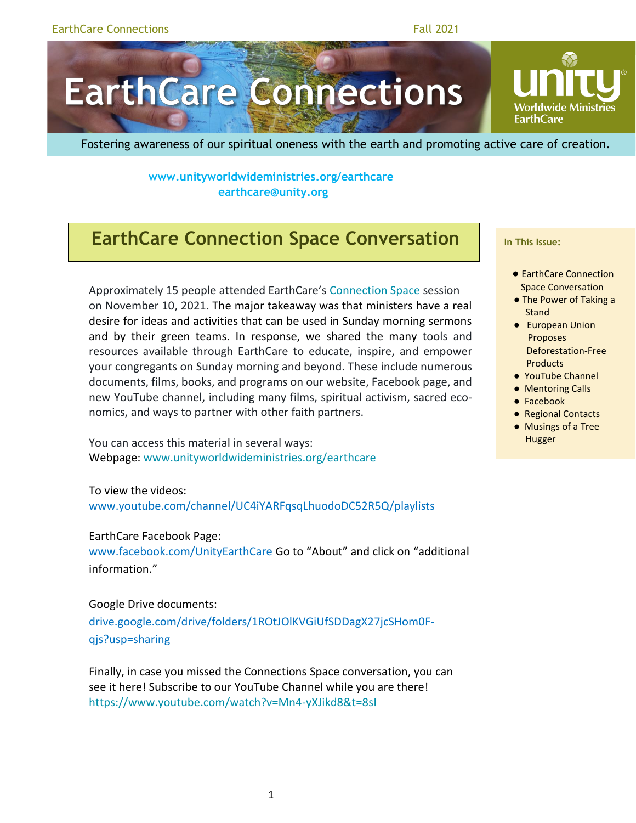# **EarthCare Connections**

Fostering awareness of our spiritual oneness with the earth and promoting active care of creation.

**www.unityworldwideministries.org/earthcare [earthcare@unity.org](about:blank)** 

## **EarthCare Connection Space Conversation**

Approximately 15 people attended EarthCare's [Connection Space](https://www.unityworldwideministries.org/connection-space) session on November 10, 2021. The major takeaway was that ministers have a real desire for ideas and activities that can be used in Sunday morning sermons and by their green teams. In response, we shared the many tools and resources available through EarthCare to educate, inspire, and empower your congregants on Sunday morning and beyond. These include numerous documents, films, books, and programs on our website, Facebook page, and new YouTube channel, including many films, spiritual activism, sacred economics, and ways to partner with other faith partners.

You can access this material in several ways: Webpage: [www.unityworldwideministries.org/earthcare](file:///C:/Users/bswanson/AppData/Local/Microsoft/Windows/INetCache/Content.Outlook/51T2FMRJ/www.unityworldwideministries.org/earthcare)

To view the videos:

[www.youtube.com/channel/UC4iYARFqsqLhuodoDC52R5Q/playlists](http://www.youtube.com/channel/UC4iYARFqsqLhuodoDC52R5Q/playlists)

#### EarthCare Facebook Page:

[www.facebook.com/UnityEarthCare](http://www.facebook.com/UnityEarthCare) Go to "About" and click on "additional information."

Google Drive documents:

[drive.google.com/drive/folders/1ROtJOlKVGiUfSDDagX27jcSHom0F](https://drive.google.com/drive/folders/1ROtJOlKVGiUfSDDagX27jcSHom0F-qjs?usp=sharing)[qjs?usp=sharing](https://drive.google.com/drive/folders/1ROtJOlKVGiUfSDDagX27jcSHom0F-qjs?usp=sharing)

Finally, in case you missed the Connections Space conversation, you can see it here! Subscribe to our YouTube Channel while you are there! <https://www.youtube.com/watch?v=Mn4-yXJikd8&t=8sI>

**In This Issue:**

**EarthCare** 

- EarthCare Connection Space Conversation
- The Power of Taking a Stand
- European Union Proposes Deforestation-Free **Products**
- YouTube Channel
- Mentoring Calls
- Facebook
- Regional Contacts
- Musings of a Tree Hugger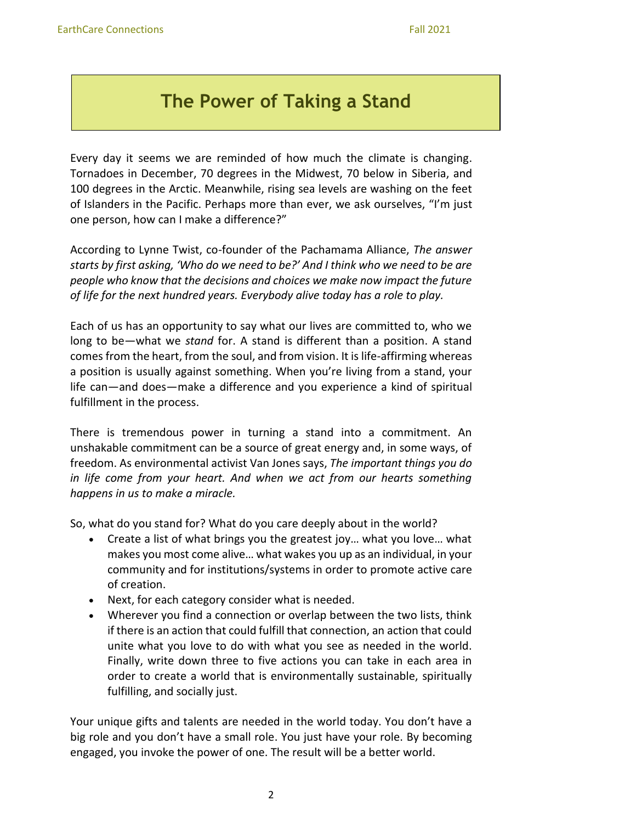## **The Power of Taking a Stand**

Every day it seems we are reminded of how much the climate is changing. Tornadoes in December, 70 degrees in the Midwest, 70 below in Siberia, and 100 degrees in the Arctic. Meanwhile, rising sea levels are washing on the feet of Islanders in the Pacific. Perhaps more than ever, we ask ourselves, "I'm just one person, how can I make a difference?"

According to Lynne Twist, co-founder of the Pachamama Alliance, *The answer starts by first asking, 'Who do we need to be?' And I think who we need to be are people who know that the decisions and choices we make now impact the future of life for the next hundred years. Everybody alive today has a role to play.*

Each of us has an opportunity to say what our lives are committed to, who we long to be—what we *stand* for. A stand is different than a position. A stand comes from the heart, from the soul, and from vision. It is life-affirming whereas a position is usually against something. When you're living from a stand, your life can—and does—make a difference and you experience a kind of spiritual fulfillment in the process.

There is tremendous power in turning a stand into a commitment. An unshakable commitment can be a source of great energy and, in some ways, of freedom. As environmental activist Van Jones says, *The important things you do in life come from your heart. And when we act from our hearts something happens in us to make a miracle.* 

So, what do you stand for? What do you care deeply about in the world?

- Create a list of what brings you the greatest joy… what you love… what makes you most come alive… what wakes you up as an individual, in your community and for institutions/systems in order to promote active care of creation.
- Next, for each category consider what is needed.
- Wherever you find a connection or overlap between the two lists, think if there is an action that could fulfill that connection, an action that could unite what you love to do with what you see as needed in the world. Finally, write down three to five actions you can take in each area in order to create a world that is environmentally sustainable, spiritually fulfilling, and socially just.

Your unique gifts and talents are needed in the world today. You don't have a big role and you don't have a small role. You just have your role. By becoming engaged, you invoke the power of one. The result will be a better world.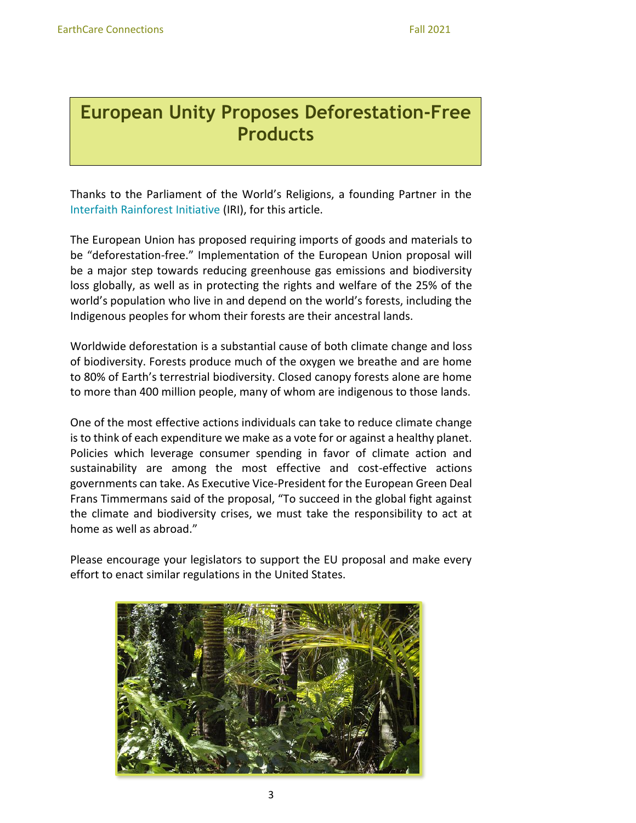## **European Unity Proposes Deforestation-Free Products**

Thanks to the Parliament of the World's Religions, a founding Partner in the [Interfaith Rainforest Initiative](https://www.interfaithrainforest.org/) (IRI), for this article.

The European Union has proposed requiring imports of goods and materials to be "deforestation-free." Implementation of the European Union proposal will be a major step towards reducing greenhouse gas emissions and biodiversity loss globally, as well as in protecting the rights and welfare of the 25% of the world's population who live in and depend on the world's forests, including the Indigenous peoples for whom their forests are their ancestral lands.

Worldwide deforestation is a substantial cause of both climate change and loss of biodiversity. Forests produce much of the oxygen we breathe and are home to 80% of Earth's terrestrial biodiversity. Closed canopy forests alone are home to more than 400 million people, many of whom are indigenous to those lands.

One of the most effective actions individuals can take to reduce climate change is to think of each expenditure we make as a vote for or against a healthy planet. Policies which leverage consumer spending in favor of climate action and sustainability are among the most effective and cost-effective actions governments can take. As Executive Vice-President for the European Green Deal Frans Timmermans said of the proposal, "To succeed in the global fight against the climate and biodiversity crises, we must take the responsibility to act at home as well as abroad."

Please encourage your legislators to support the EU proposal and make every effort to enact similar regulations in the United States.

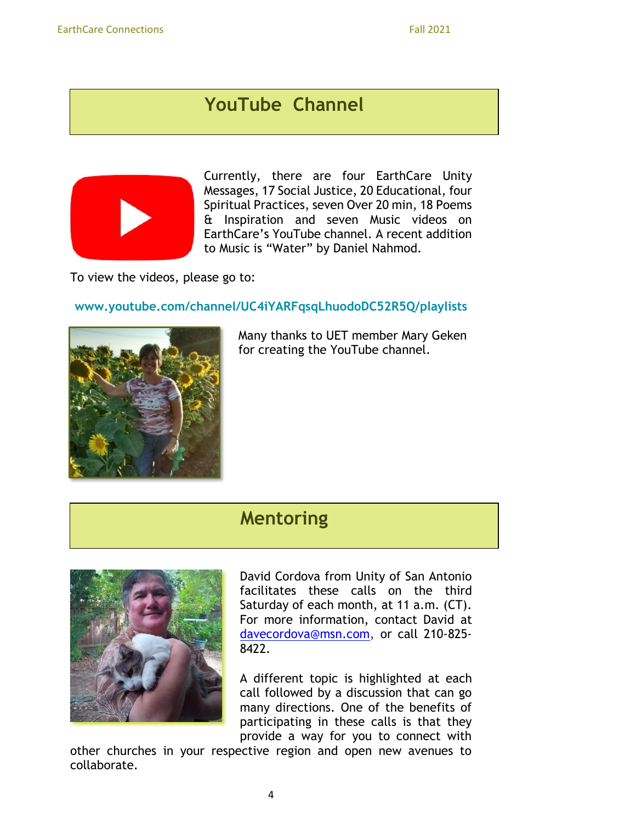## **YouTube Channel**



Currently, there are four EarthCare Unity Messages, 17 Social Justice, 20 Educational, four Spiritual Practices, seven Over 20 min, 18 Poems & Inspiration and seven Music videos on EarthCare's YouTube channel. A recent addition to Music is "Water" by Daniel Nahmod.

To view the videos, please go to:

#### **[www.youtube.com/channel/UC4iYARFqsqLhuodoDC52R5Q/playlists](http://www.youtube.com/channel/UC4iYARFqsqLhuodoDC52R5Q/playlists)**



Many thanks to UET member Mary Geken for creating the YouTube channel.

### **Mentoring**



David Cordova from Unity of San Antonio facilitates these calls on the third Saturday of each month, at 11 a.m. (CT). For more information, contact David at davecordova@msn.com, or call 210-825- 8422.

A different topic is highlighted at each call followed by a discussion that can go many directions. One of the benefits of participating in these calls is that they provide a way for you to connect with

other churches in your respective region and open new avenues to collaborate.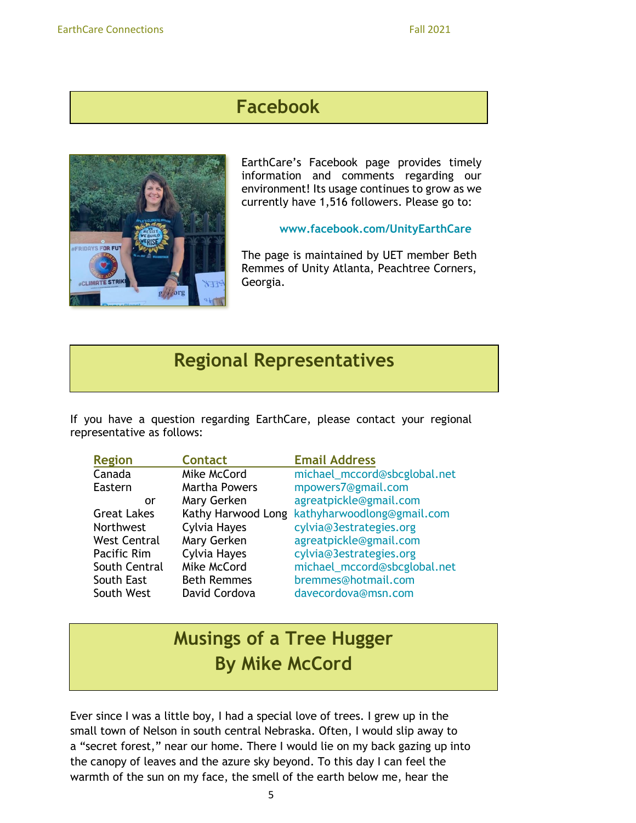## **Facebook**



EarthCare's [Facebook page](about:blank) provides timely information and comments regarding our environment! Its usage continues to grow as we currently have 1,516 followers. Please go to:

#### **[www.facebook.com/UnityEarthCare](http://www.facebook.com/UnityEarthCare)**

The page is maintained by UET member Beth Remmes of Unity Atlanta, Peachtree Corners, Georgia.

## **Regional Representatives**

If you have a question regarding EarthCare, please contact your regional representative as follows:

| <b>Region</b>       | <b>Contact</b>       | <b>Email Address</b>         |
|---------------------|----------------------|------------------------------|
| Canada              | Mike McCord          | michael_mccord@sbcglobal.net |
| Eastern             | <b>Martha Powers</b> | mpowers7@gmail.com           |
| or                  | Mary Gerken          | agreatpickle@gmail.com       |
| <b>Great Lakes</b>  | Kathy Harwood Long   | kathyharwoodlong@gmail.com   |
| <b>Northwest</b>    | Cylvia Hayes         | cylvia@3estrategies.org      |
| <b>West Central</b> | Mary Gerken          | agreatpickle@gmail.com       |
| Pacific Rim         | Cylvia Hayes         | cylvia@3estrategies.org      |
| South Central       | Mike McCord          | michael_mccord@sbcglobal.net |
| South East          | <b>Beth Remmes</b>   | bremmes@hotmail.com          |
| South West          | David Cordova        | davecordova@msn.com          |

# **Musings of a Tree Hugger By Mike McCord**

Ever since I was a little boy, I had a special love of trees. I grew up in the small town of Nelson in south central Nebraska. Often, I would slip away to a "secret forest," near our home. There I would lie on my back gazing up into the canopy of leaves and the azure sky beyond. To this day I can feel the warmth of the sun on my face, the smell of the earth below me, hear the